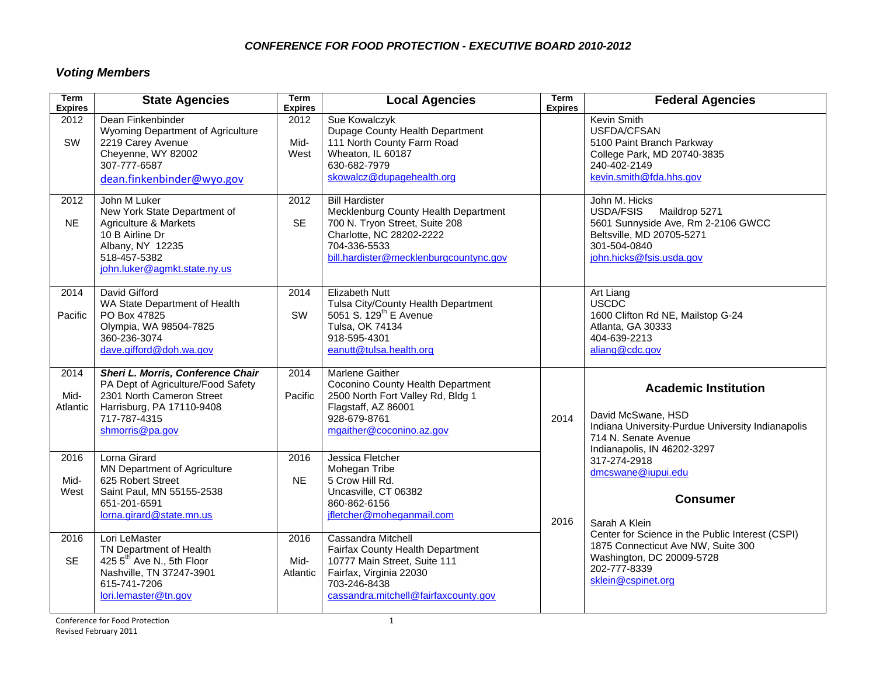#### *CONFERENCE FOR FOOD PROTECTION - EXECUTIVE BOARD 2010-2012*

# *Voting Members*

| <b>Term</b><br><b>Expires</b> | <b>State Agencies</b>                                                                                                                                                | Term<br><b>Expires</b>   | <b>Local Agencies</b>                                                                                                                                                                 | <b>Term</b><br><b>Expires</b> | <b>Federal Agencies</b>                                                                                                                                                                                                                 |
|-------------------------------|----------------------------------------------------------------------------------------------------------------------------------------------------------------------|--------------------------|---------------------------------------------------------------------------------------------------------------------------------------------------------------------------------------|-------------------------------|-----------------------------------------------------------------------------------------------------------------------------------------------------------------------------------------------------------------------------------------|
| 2012<br>SW                    | Dean Finkenbinder<br>Wyoming Department of Agriculture<br>2219 Carey Avenue<br>Cheyenne, WY 82002<br>307-777-6587<br>dean.finkenbinder@wyo.gov                       | 2012<br>Mid-<br>West     | Sue Kowalczyk<br>Dupage County Health Department<br>111 North County Farm Road<br>Wheaton, IL 60187<br>630-682-7979<br>skowalcz@dupagehealth.org                                      |                               | Kevin Smith<br>USFDA/CFSAN<br>5100 Paint Branch Parkway<br>College Park, MD 20740-3835<br>240-402-2149<br>kevin.smith@fda.hhs.gov                                                                                                       |
| 2012<br><b>NE</b>             | John M Luker<br>New York State Department of<br>Agriculture & Markets<br>10 B Airline Dr<br>Albany, NY 12235<br>518-457-5382<br>john.luker@agmkt.state.ny.us         | 2012<br><b>SE</b>        | <b>Bill Hardister</b><br>Mecklenburg County Health Department<br>700 N. Tryon Street, Suite 208<br>Charlotte, NC 28202-2222<br>704-336-5533<br>bill.hardister@mecklenburgcountync.gov |                               | John M. Hicks<br>USDA/FSIS Maildrop 5271<br>5601 Sunnyside Ave, Rm 2-2106 GWCC<br>Beltsville, MD 20705-5271<br>301-504-0840<br>john.hicks@fsis.usda.gov                                                                                 |
| 2014<br>Pacific               | David Gifford<br>WA State Department of Health<br>PO Box 47825<br>Olympia, WA 98504-7825<br>360-236-3074<br>dave.gifford@doh.wa.gov                                  | 2014<br>SW               | <b>Elizabeth Nutt</b><br>Tulsa City/County Health Department<br>5051 S. 129 <sup>th</sup> E Avenue<br>Tulsa, OK 74134<br>918-595-4301<br>eanutt@tulsa.health.org                      |                               | Art Liang<br>USCDC<br>1600 Clifton Rd NE, Mailstop G-24<br>Atlanta, GA 30333<br>404-639-2213<br>aliang@cdc.gov                                                                                                                          |
| 2014<br>Mid-<br>Atlantic      | Sheri L. Morris, Conference Chair<br>PA Dept of Agriculture/Food Safety<br>2301 North Cameron Street<br>Harrisburg, PA 17110-9408<br>717-787-4315<br>shmorris@pa.gov | 2014<br>Pacific          | <b>Marlene Gaither</b><br>Coconino County Health Department<br>2500 North Fort Valley Rd, Bldg 1<br>Flagstaff, AZ 86001<br>928-679-8761<br>mgaither@coconino.az.gov                   | 2014                          | <b>Academic Institution</b><br>David McSwane, HSD<br>Indiana University-Purdue University Indianapolis<br>714 N. Senate Avenue<br>Indianapolis, IN 46202-3297<br>317-274-2918<br>dmcswane@iupui.edu<br><b>Consumer</b><br>Sarah A Klein |
| 2016<br>Mid-<br>West          | Lorna Girard<br><b>MN Department of Agriculture</b><br>625 Robert Street<br>Saint Paul, MN 55155-2538<br>651-201-6591<br>lorna.girard@state.mn.us                    | 2016<br><b>NE</b>        | Jessica Fletcher<br>Mohegan Tribe<br>5 Crow Hill Rd.<br>Uncasville, CT 06382<br>860-862-6156<br>jfletcher@moheganmail.com                                                             | 2016                          |                                                                                                                                                                                                                                         |
| 2016<br><b>SE</b>             | Lori LeMaster<br>TN Department of Health<br>425 5 <sup>th</sup> Ave N., 5th Floor<br>Nashville, TN 37247-3901<br>615-741-7206<br>lori.lemaster@tn.gov                | 2016<br>Mid-<br>Atlantic | Cassandra Mitchell<br>Fairfax County Health Department<br>10777 Main Street, Suite 111<br>Fairfax, Virginia 22030<br>703-246-8438<br>cassandra.mitchell@fairfaxcounty.gov             |                               | Center for Science in the Public Interest (CSPI)<br>1875 Connecticut Ave NW, Suite 300<br>Washington, DC 20009-5728<br>202-777-8339<br>sklein@cspinet.org                                                                               |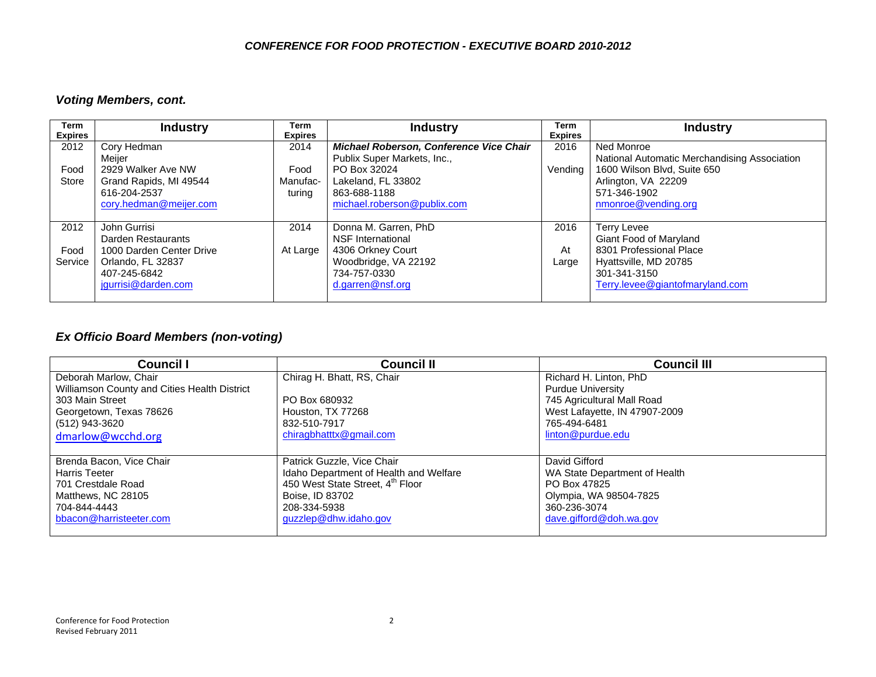### *Voting Members, cont.*

| Term<br><b>Expires</b>  | <b>Industry</b>                                                                                                            | Term<br><b>Expires</b>     | <b>Industry</b>                                                                                                            | Term<br><b>Expires</b> | <b>Industry</b>                                                                                                                              |
|-------------------------|----------------------------------------------------------------------------------------------------------------------------|----------------------------|----------------------------------------------------------------------------------------------------------------------------|------------------------|----------------------------------------------------------------------------------------------------------------------------------------------|
| 2012                    | Cory Hedman<br>Meijer                                                                                                      | 2014                       | Michael Roberson, Conference Vice Chair<br>Publix Super Markets, Inc.,                                                     | 2016                   | Ned Monroe<br>National Automatic Merchandising Association                                                                                   |
| Food<br>Store           | 2929 Walker Ave NW<br>Grand Rapids, MI 49544<br>616-204-2537<br>cory.hedman@meijer.com                                     | Food<br>Manufac-<br>turing | PO Box 32024<br>Lakeland, FL 33802<br>863-688-1188<br>michael.roberson@publix.com                                          | Vending                | 1600 Wilson Blvd, Suite 650<br>Arlington, VA 22209<br>571-346-1902<br>nmonroe@vending.org                                                    |
| 2012<br>Food<br>Service | John Gurrisi<br>Darden Restaurants<br>1000 Darden Center Drive<br>Orlando, FL 32837<br>407-245-6842<br>jgurrisi@darden.com | 2014<br>At Large           | Donna M. Garren, PhD<br>NSF International<br>4306 Orkney Court<br>Woodbridge, VA 22192<br>734-757-0330<br>d.garren@nsf.org | 2016<br>At<br>Large    | Terry Levee<br>Giant Food of Maryland<br>8301 Professional Place<br>Hyattsville, MD 20785<br>301-341-3150<br>Terry.levee@giantofmaryland.com |

### *Ex Officio Board Members (non-voting)*

| <b>Council I</b>                             | <b>Council II</b>                      | <b>Council III</b>            |
|----------------------------------------------|----------------------------------------|-------------------------------|
| Deborah Marlow, Chair                        | Chirag H. Bhatt, RS, Chair             | Richard H. Linton, PhD        |
| Williamson County and Cities Health District |                                        | <b>Purdue University</b>      |
| 303 Main Street                              | PO Box 680932                          | 745 Agricultural Mall Road    |
| Georgetown, Texas 78626                      | Houston, TX 77268                      | West Lafayette, IN 47907-2009 |
| (512) 943-3620                               | 832-510-7917                           | 765-494-6481                  |
| dmarlow@wcchd.org                            | chiragbhatttx@gmail.com                | linton@purdue.edu             |
|                                              |                                        |                               |
| Brenda Bacon, Vice Chair                     | Patrick Guzzle, Vice Chair             | David Gifford                 |
| <b>Harris Teeter</b>                         | Idaho Department of Health and Welfare | WA State Department of Health |
| 701 Crestdale Road                           | 450 West State Street, 4th Floor       | PO Box 47825                  |
| Matthews, NC 28105                           | Boise, ID 83702                        | Olympia, WA 98504-7825        |
| 704-844-4443                                 | 208-334-5938                           | 360-236-3074                  |
| bbacon@harristeeter.com                      | guzzlep@dhw.idaho.gov                  | dave.gifford@doh.wa.gov       |
|                                              |                                        |                               |